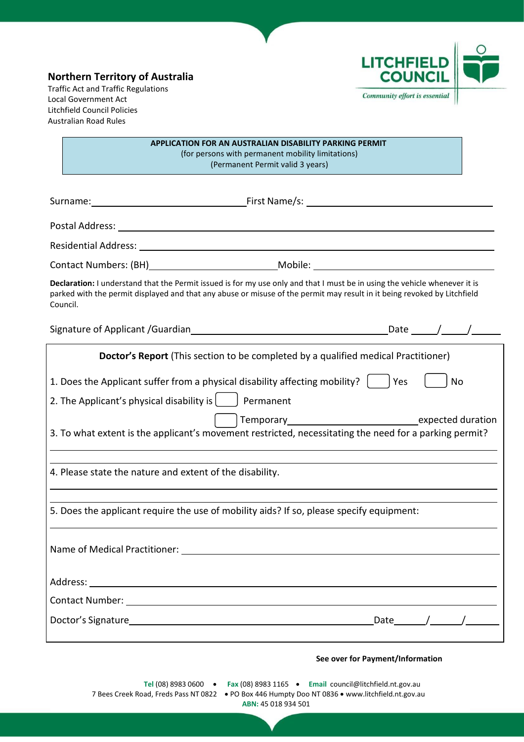# **Northern Territory of Australia**

Traffic Act and Traffic Regulations Local Government Act Litchfield Council Policies Australian Road Rules



**APPLICATION FOR AN AUSTRALIAN DISABILITY PARKING PERMIT** (for persons with permanent mobility limitations) (Permanent Permit valid 3 years)

| Residential Address: University of the Contractor of the Contractor of the Contractor of the Contractor of the                                                                                                                                                     |              |  |
|--------------------------------------------------------------------------------------------------------------------------------------------------------------------------------------------------------------------------------------------------------------------|--------------|--|
|                                                                                                                                                                                                                                                                    |              |  |
| Declaration: I understand that the Permit issued is for my use only and that I must be in using the vehicle whenever it is<br>parked with the permit displayed and that any abuse or misuse of the permit may result in it being revoked by Litchfield<br>Council. |              |  |
|                                                                                                                                                                                                                                                                    |              |  |
| Doctor's Report (This section to be completed by a qualified medical Practitioner)                                                                                                                                                                                 |              |  |
| 1. Does the Applicant suffer from a physical disability affecting mobility?                                                                                                                                                                                        | Yes<br>No    |  |
| 2. The Applicant's physical disability is $\vert \qquad \vert$ Permanent                                                                                                                                                                                           |              |  |
| 3. To what extent is the applicant's movement restricted, necessitating the need for a parking permit?                                                                                                                                                             |              |  |
| 4. Please state the nature and extent of the disability.                                                                                                                                                                                                           |              |  |
| 5. Does the applicant require the use of mobility aids? If so, please specify equipment:                                                                                                                                                                           |              |  |
|                                                                                                                                                                                                                                                                    |              |  |
| Address:                                                                                                                                                                                                                                                           |              |  |
|                                                                                                                                                                                                                                                                    |              |  |
| Doctor's Signature experience and the state of the state of the state of the state of the state of the state of the state of the state of the state of the state of the state of the state of the state of the state of the st                                     | Date $/$ $/$ |  |
|                                                                                                                                                                                                                                                                    |              |  |

#### **See over for Payment/Information**

**Tel** (08) 8983 0600 • **Fax** (08) 8983 1165 • **Email** [council@litchfield.nt.gov.au](mailto:council@litchfield.nt.gov.au) 7 Bees Creek Road, Freds Pass NT 0822 • PO Box 446 Humpty Doo NT 0836 • [www.litchfield.nt.gov.au](http://www.litchfield.nt.gov.au/) **ABN:** 45 018 934 501